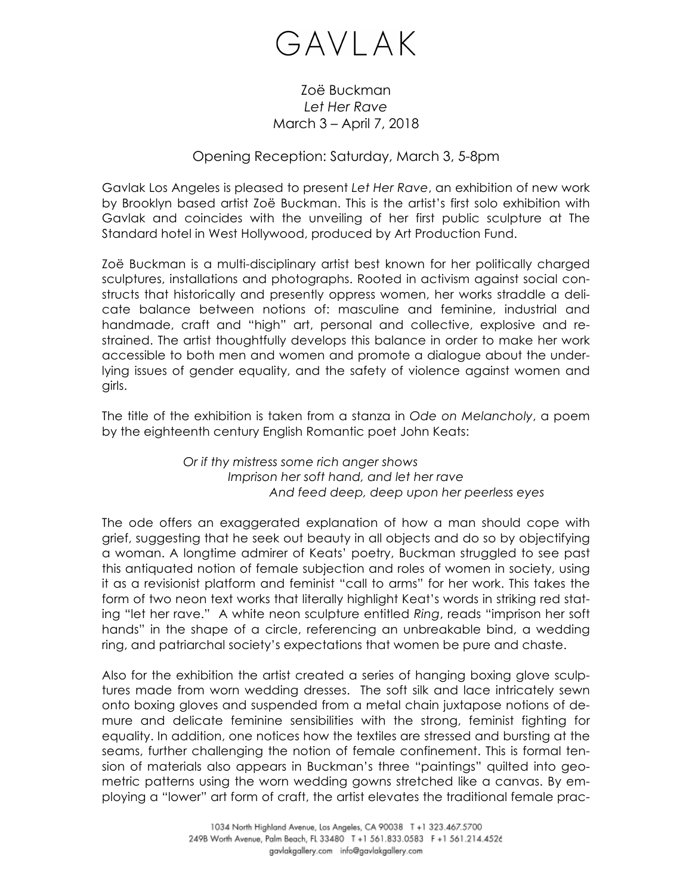## GAVLAK

## Zoë Buckman *Let Her Rave* March 3 – April 7, 2018

## Opening Reception: Saturday, March 3, 5-8pm

Gavlak Los Angeles is pleased to present *Let Her Rave*, an exhibition of new work by Brooklyn based artist Zoë Buckman. This is the artist's first solo exhibition with Gavlak and coincides with the unveiling of her first public sculpture at The Standard hotel in West Hollywood, produced by Art Production Fund.

Zoë Buckman is a multi-disciplinary artist best known for her politically charged sculptures, installations and photographs. Rooted in activism against social constructs that historically and presently oppress women, her works straddle a delicate balance between notions of: masculine and feminine, industrial and handmade, craft and "high" art, personal and collective, explosive and restrained. The artist thoughtfully develops this balance in order to make her work accessible to both men and women and promote a dialogue about the underlying issues of gender equality, and the safety of violence against women and girls.

The title of the exhibition is taken from a stanza in *Ode on Melancholy*, a poem by the eighteenth century English Romantic poet John Keats:

> *Or if thy mistress some rich anger shows Imprison her soft hand, and let her rave And feed deep, deep upon her peerless eyes*

The ode offers an exaggerated explanation of how a man should cope with grief, suggesting that he seek out beauty in all objects and do so by objectifying a woman. A longtime admirer of Keats' poetry, Buckman struggled to see past this antiquated notion of female subjection and roles of women in society, using it as a revisionist platform and feminist "call to arms" for her work. This takes the form of two neon text works that literally highlight Keat's words in striking red stating "let her rave." A white neon sculpture entitled *Ring*, reads "imprison her soft hands" in the shape of a circle, referencing an unbreakable bind, a wedding ring, and patriarchal society's expectations that women be pure and chaste.

Also for the exhibition the artist created a series of hanging boxing glove sculptures made from worn wedding dresses. The soft silk and lace intricately sewn onto boxing gloves and suspended from a metal chain juxtapose notions of demure and delicate feminine sensibilities with the strong, feminist fighting for equality. In addition, one notices how the textiles are stressed and bursting at the seams, further challenging the notion of female confinement. This is formal tension of materials also appears in Buckman's three "paintings" quilted into geometric patterns using the worn wedding gowns stretched like a canvas. By employing a "lower" art form of craft, the artist elevates the traditional female prac-